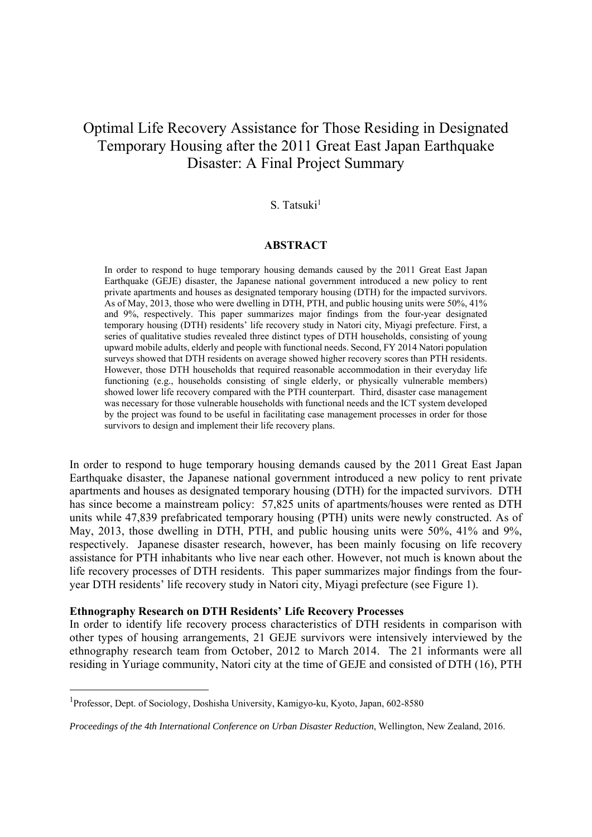# Optimal Life Recovery Assistance for Those Residing in Designated Temporary Housing after the 2011 Great East Japan Earthquake Disaster: A Final Project Summary

# $S.$  Tatsuki $<sup>1</sup>$ </sup>

## **ABSTRACT**

In order to respond to huge temporary housing demands caused by the 2011 Great East Japan Earthquake (GEJE) disaster, the Japanese national government introduced a new policy to rent private apartments and houses as designated temporary housing (DTH) for the impacted survivors. As of May, 2013, those who were dwelling in DTH, PTH, and public housing units were 50%, 41% and 9%, respectively. This paper summarizes major findings from the four-year designated temporary housing (DTH) residents' life recovery study in Natori city, Miyagi prefecture. First, a series of qualitative studies revealed three distinct types of DTH households, consisting of young upward mobile adults, elderly and people with functional needs. Second, FY 2014 Natori population surveys showed that DTH residents on average showed higher recovery scores than PTH residents. However, those DTH households that required reasonable accommodation in their everyday life functioning (e.g., households consisting of single elderly, or physically vulnerable members) showed lower life recovery compared with the PTH counterpart. Third, disaster case management was necessary for those vulnerable households with functional needs and the ICT system developed by the project was found to be useful in facilitating case management processes in order for those survivors to design and implement their life recovery plans.

In order to respond to huge temporary housing demands caused by the 2011 Great East Japan Earthquake disaster, the Japanese national government introduced a new policy to rent private apartments and houses as designated temporary housing (DTH) for the impacted survivors. DTH has since become a mainstream policy: 57,825 units of apartments/houses were rented as DTH units while 47,839 prefabricated temporary housing (PTH) units were newly constructed. As of May, 2013, those dwelling in DTH, PTH, and public housing units were 50%, 41% and 9%, respectively. Japanese disaster research, however, has been mainly focusing on life recovery assistance for PTH inhabitants who live near each other. However, not much is known about the life recovery processes of DTH residents. This paper summarizes major findings from the fouryear DTH residents' life recovery study in Natori city, Miyagi prefecture (see Figure 1).

#### **Ethnography Research on DTH Residents' Life Recovery Processes**

In order to identify life recovery process characteristics of DTH residents in comparison with other types of housing arrangements, 21 GEJE survivors were intensively interviewed by the ethnography research team from October, 2012 to March 2014. The 21 informants were all residing in Yuriage community, Natori city at the time of GEJE and consisted of DTH (16), PTH

-

<sup>&</sup>lt;sup>1</sup>Professor, Dept. of Sociology, Doshisha University, Kamigyo-ku, Kyoto, Japan, 602-8580

*Proceedings of the 4th International Conference on Urban Disaster Reduction*, Wellington, New Zealand, 2016.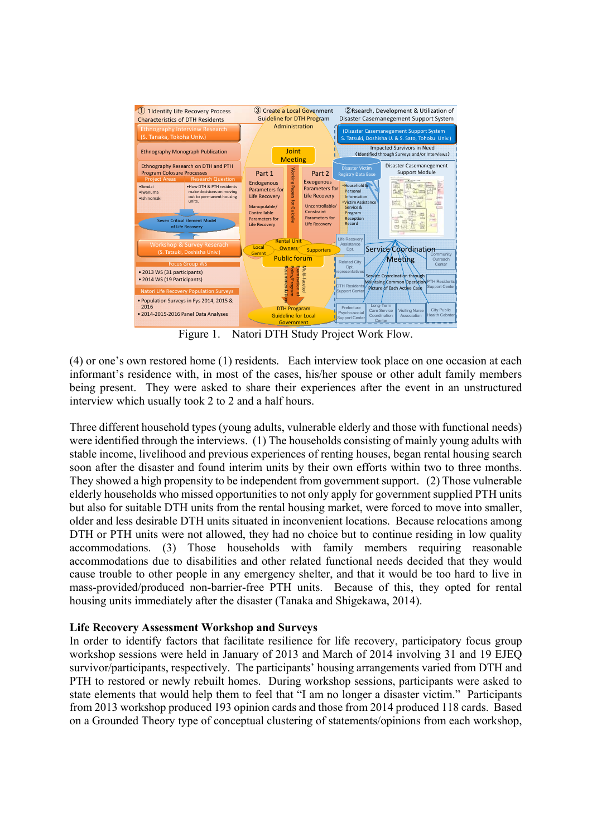

Figure 1. Natori DTH Study Project Work Flow.

(4) or one's own restored home (1) residents. Each interview took place on one occasion at each informant's residence with, in most of the cases, his/her spouse or other adult family members being present. They were asked to share their experiences after the event in an unstructured interview which usually took 2 to 2 and a half hours.

Three different household types (young adults, vulnerable elderly and those with functional needs) were identified through the interviews. (1) The households consisting of mainly young adults with stable income, livelihood and previous experiences of renting houses, began rental housing search soon after the disaster and found interim units by their own efforts within two to three months. They showed a high propensity to be independent from government support. (2) Those vulnerable elderly households who missed opportunities to not only apply for government supplied PTH units but also for suitable DTH units from the rental housing market, were forced to move into smaller, older and less desirable DTH units situated in inconvenient locations. Because relocations among DTH or PTH units were not allowed, they had no choice but to continue residing in low quality accommodations. (3) Those households with family members requiring reasonable accommodations due to disabilities and other related functional needs decided that they would cause trouble to other people in any emergency shelter, and that it would be too hard to live in mass-provided/produced non-barrier-free PTH units. Because of this, they opted for rental housing units immediately after the disaster (Tanaka and Shigekawa, 2014).

# **Life Recovery Assessment Workshop and Surveys**

In order to identify factors that facilitate resilience for life recovery, participatory focus group workshop sessions were held in January of 2013 and March of 2014 involving 31 and 19 EJEQ survivor/participants, respectively. The participants' housing arrangements varied from DTH and PTH to restored or newly rebuilt homes. During workshop sessions, participants were asked to state elements that would help them to feel that "I am no longer a disaster victim." Participants from 2013 workshop produced 193 opinion cards and those from 2014 produced 118 cards. Based on a Grounded Theory type of conceptual clustering of statements/opinions from each workshop,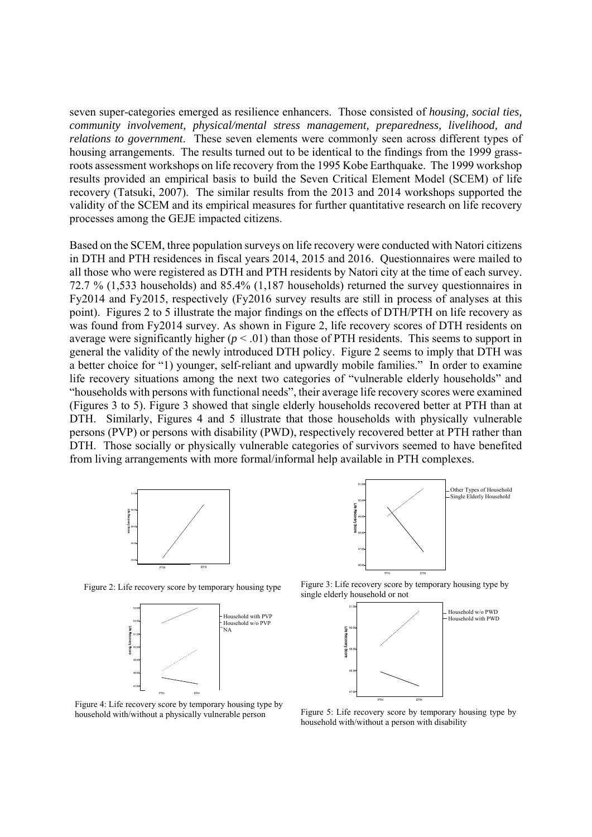seven super-categories emerged as resilience enhancers. Those consisted of *housing, social ties, community involvement, physical/mental stress management, preparedness, livelihood, and relations to government*. These seven elements were commonly seen across different types of housing arrangements. The results turned out to be identical to the findings from the 1999 grassroots assessment workshops on life recovery from the 1995 Kobe Earthquake. The 1999 workshop results provided an empirical basis to build the Seven Critical Element Model (SCEM) of life recovery (Tatsuki, 2007). The similar results from the 2013 and 2014 workshops supported the validity of the SCEM and its empirical measures for further quantitative research on life recovery processes among the GEJE impacted citizens.

Based on the SCEM, three population surveys on life recovery were conducted with Natori citizens in DTH and PTH residences in fiscal years 2014, 2015 and 2016. Questionnaires were mailed to all those who were registered as DTH and PTH residents by Natori city at the time of each survey. 72.7 % (1,533 households) and 85.4% (1,187 households) returned the survey questionnaires in Fy2014 and Fy2015, respectively (Fy2016 survey results are still in process of analyses at this point). Figures 2 to 5 illustrate the major findings on the effects of DTH/PTH on life recovery as was found from Fy2014 survey. As shown in Figure 2, life recovery scores of DTH residents on average were significantly higher  $(p < .01)$  than those of PTH residents. This seems to support in general the validity of the newly introduced DTH policy. Figure 2 seems to imply that DTH was a better choice for "1) younger, self-reliant and upwardly mobile families." In order to examine life recovery situations among the next two categories of "vulnerable elderly households" and "households with persons with functional needs", their average life recovery scores were examined (Figures 3 to 5). Figure 3 showed that single elderly households recovered better at PTH than at DTH. Similarly, Figures 4 and 5 illustrate that those households with physically vulnerable persons (PVP) or persons with disability (PWD), respectively recovered better at PTH rather than DTH. Those socially or physically vulnerable categories of survivors seemed to have benefited from living arrangements with more formal/informal help available in PTH complexes.



Figure 2: Life recovery score by temporary housing type





Figure 3: Life recovery score by temporary housing type by single elderly household or not



Figure 4: Life recovery score by temporary housing type by household with/without a physically vulnerable person

Figure 5: Life recovery score by temporary housing type by household with/without a person with disability